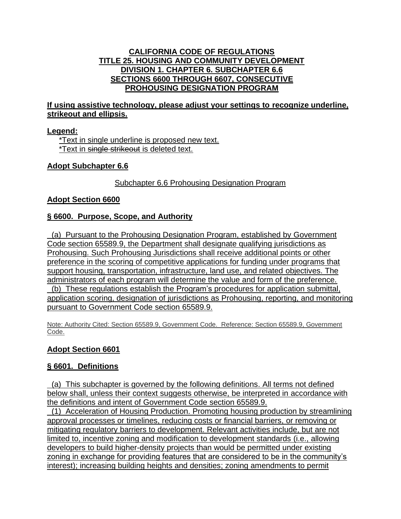#### **CALIFORNIA CODE OF REGULATIONS TITLE 25. HOUSING AND COMMUNITY DEVELOPMENT DIVISION 1. CHAPTER 6. SUBCHAPTER 6.6 SECTIONS 6600 THROUGH 6607, CONSECUTIVE PROHOUSING DESIGNATION PROGRAM**

### **If using assistive technology, please adjust your settings to recognize underline, strikeout and ellipsis.**

### **Legend:** This document uses strike out and underline to specify the specific text changes. The specify text cha

\*Text in single underline is proposed new text. \*Text in single strikeout is deleted text.

## **Adopt Subchapter 6.6**

## Subchapter 6.6 Prohousing Designation Program

## **Adopt Section 6600**

### **§ 6600. Purpose, Scope, and Authority**

 (a) Pursuant to the Prohousing Designation Program, established by Government Code section 65589.9, the Department shall designate qualifying jurisdictions as Prohousing. Such Prohousing Jurisdictions shall receive additional points or other preference in the scoring of competitive applications for funding under programs that support housing, transportation, infrastructure, land use, and related objectives. The administrators of each program will determine the value and form of the preference. (b) These regulations establish the Program's procedures for application submittal, application scoring, designation of jurisdictions as Prohousing, reporting, and monitoring pursuant to Government Code section 65589.9.

Note: Authority Cited: Section 65589.9, Government Code. Reference: Section 65589.9, Government Code.

## **Adopt Section 6601**

## **§ 6601. Definitions**

 (a) This subchapter is governed by the following definitions. All terms not defined below shall, unless their context suggests otherwise, be interpreted in accordance with the definitions and intent of Government Code section 65589.9.

 (1) Acceleration of Housing Production. Promoting housing production by streamlining approval processes or timelines, reducing costs or financial barriers, or removing or mitigating regulatory barriers to development. Relevant activities include, but are not limited to, incentive zoning and modification to development standards (i.e., allowing developers to build higher-density projects than would be permitted under existing zoning in exchange for providing features that are considered to be in the community's interest); increasing building heights and densities; zoning amendments to permit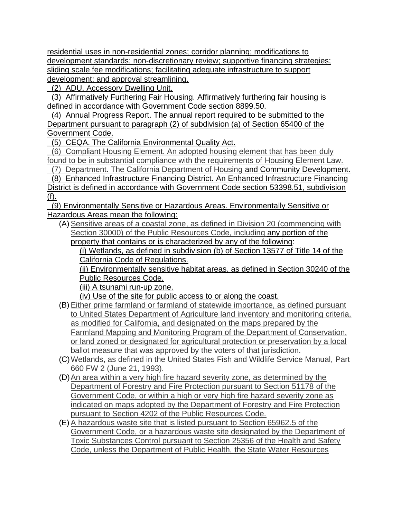residential uses in non-residential zones; corridor planning; modifications to development standards; non-discretionary review; supportive financing strategies; sliding scale fee modifications; facilitating adequate infrastructure to support development; and approval streamlining.

(2) ADU. Accessory Dwelling Unit.

 (3) Affirmatively Furthering Fair Housing. Affirmatively furthering fair housing is defined in accordance with Government Code section 8899.50.

 (4) Annual Progress Report. The annual report required to be submitted to the Department pursuant to paragraph (2) of subdivision (a) of Section 65400 of the Government Code.

(5) CEQA. The California Environmental Quality Act.

 (6) Compliant Housing Element. An adopted housing element that has been duly found to be in substantial compliance with the requirements of Housing Element Law.

(7) Department. The California Department of Housing and Community Development.

 (8) Enhanced Infrastructure Financing District. An Enhanced Infrastructure Financing District is defined in accordance with Government Code section 53398.51, subdivision (f).

 (9) Environmentally Sensitive or Hazardous Areas. Environmentally Sensitive or Hazardous Areas mean the following:

(A)Sensitive areas of a coastal zone, as defined in Division 20 (commencing with Section 30000) of the Public Resources Code, including any portion of the property that contains or is characterized by any of the following:

(i) Wetlands, as defined in subdivision (b) of Section 13577 of Title 14 of the California Code of Regulations.

(ii) Environmentally sensitive habitat areas, as defined in Section 30240 of the Public Resources Code.

(iii) A tsunami run-up zone.

(iv) Use of the site for public access to or along the coast.

- (B)Either prime farmland or farmland of statewide importance, as defined pursuant to United States Department of Agriculture land inventory and monitoring criteria, as modified for California, and designated on the maps prepared by the Farmland Mapping and Monitoring Program of the Department of Conservation, or land zoned or designated for agricultural protection or preservation by a local ballot measure that was approved by the voters of that jurisdiction.
- (C)Wetlands, as defined in the United States Fish and Wildlife Service Manual, Part 660 FW 2 (June 21, 1993).
- (D)An area within a very high fire hazard severity zone, as determined by the Department of Forestry and Fire Protection pursuant to Section 51178 of the Government Code, or within a high or very high fire hazard severity zone as indicated on maps adopted by the Department of Forestry and Fire Protection pursuant to Section 4202 of the Public Resources Code.
- (E)A hazardous waste site that is listed pursuant to Section 65962.5 of the Government Code, or a hazardous waste site designated by the Department of Toxic Substances Control pursuant to Section 25356 of the Health and Safety Code, unless the Department of Public Health, the State Water Resources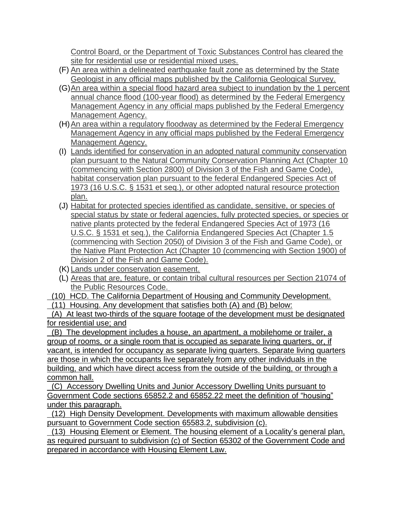Control Board, or the Department of Toxic Substances Control has cleared the site for residential use or residential mixed uses.

- (F) An area within a delineated earthquake fault zone as determined by the State Geologist in any official maps published by the California Geological Survey.
- (G)An area within a special flood hazard area subject to inundation by the 1 percent annual chance flood (100-year flood) as determined by the Federal Emergency Management Agency in any official maps published by the Federal Emergency Management Agency.
- (H)An area within a regulatory floodway as determined by the Federal Emergency Management Agency in any official maps published by the Federal Emergency Management Agency.
- (I) Lands identified for conservation in an adopted natural community conservation plan pursuant to the Natural Community Conservation Planning Act (Chapter 10 (commencing with Section 2800) of Division 3 of the Fish and Game Code), habitat conservation plan pursuant to the federal Endangered Species Act of 1973 (16 U.S.C. § 1531 et seq.), or other adopted natural resource protection plan.
- (J) Habitat for protected species identified as candidate, sensitive, or species of special status by state or federal agencies, fully protected species, or species or native plants protected by the federal Endangered Species Act of 1973 (16 U.S.C. § 1531 et seq.), the California Endangered Species Act (Chapter 1.5 (commencing with Section 2050) of Division 3 of the Fish and Game Code), or the Native Plant Protection Act (Chapter 10 (commencing with Section 1900) of Division 2 of the Fish and Game Code).
- (K) Lands under conservation easement.
- (L) Areas that are, feature, or contain tribal cultural resources per Section 21074 of the Public Resources Code.
- (10) HCD. The California Department of Housing and Community Development.

(11) Housing. Any development that satisfies both (A) and (B) below:

 (A) At least two-thirds of the square footage of the development must be designated for residential use; and

 (B) The development includes a house, an apartment, a mobilehome or trailer, a group of rooms, or a single room that is occupied as separate living quarters, or, if vacant, is intended for occupancy as separate living quarters. Separate living quarters are those in which the occupants live separately from any other individuals in the building, and which have direct access from the outside of the building, or through a common hall.

 (C) Accessory Dwelling Units and Junior Accessory Dwelling Units pursuant to Government Code sections 65852.2 and 65852.22 meet the definition of "housing" under this paragraph.

 (12) High Density Development. Developments with maximum allowable densities pursuant to Government Code section 65583.2, subdivision (c).

 (13) Housing Element or Element. The housing element of a Locality's general plan, as required pursuant to subdivision (c) of Section 65302 of the Government Code and prepared in accordance with Housing Element Law.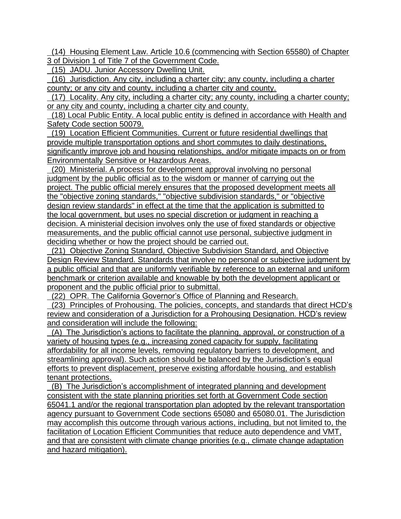(14) Housing Element Law. Article 10.6 (commencing with Section 65580) of Chapter 3 of Division 1 of Title 7 of the Government Code.

(15) JADU. Junior Accessory Dwelling Unit.

 (16) Jurisdiction. Any city, including a charter city; any county, including a charter county; or any city and county, including a charter city and county.

 (17) Locality. Any city, including a charter city; any county, including a charter county; or any city and county, including a charter city and county.

 (18) Local Public Entity. A local public entity is defined in accordance with Health and Safety Code section 50079.

 (19) Location Efficient Communities. Current or future residential dwellings that provide multiple transportation options and short commutes to daily destinations, significantly improve job and housing relationships, and/or mitigate impacts on or from Environmentally Sensitive or Hazardous Areas.

 (20) Ministerial. A process for development approval involving no personal judgment by the public official as to the wisdom or manner of carrying out the project. The public official merely ensures that the proposed development meets all the "objective zoning standards," "objective subdivision standards," or "objective design review standards" in effect at the time that the application is submitted to the local government, but uses no special discretion or judgment in reaching a decision. A ministerial decision involves only the use of fixed standards or objective measurements, and the public official cannot use personal, subjective judgment in deciding whether or how the project should be carried out.

 (21) Objective Zoning Standard, Objective Subdivision Standard, and Objective Design Review Standard. Standards that involve no personal or subjective judgment by a public official and that are uniformly verifiable by reference to an external and uniform benchmark or criterion available and knowable by both the development applicant or proponent and the public official prior to submittal.

(22) OPR. The California Governor's Office of Planning and Research.

 (23) Principles of Prohousing. The policies, concepts, and standards that direct HCD's review and consideration of a Jurisdiction for a Prohousing Designation. HCD's review and consideration will include the following:

 (A) The Jurisdiction's actions to facilitate the planning, approval, or construction of a variety of housing types (e.g., increasing zoned capacity for supply, facilitating affordability for all income levels, removing regulatory barriers to development, and streamlining approval). Such action should be balanced by the Jurisdiction's equal efforts to prevent displacement, preserve existing affordable housing, and establish tenant protections.

 (B) The Jurisdiction's accomplishment of integrated planning and development consistent with the state planning priorities set forth at Government Code section 65041.1 and/or the regional transportation plan adopted by the relevant transportation agency pursuant to Government Code sections 65080 and 65080.01. The Jurisdiction may accomplish this outcome through various actions, including, but not limited to, the facilitation of Location Efficient Communities that reduce auto dependence and VMT, and that are consistent with climate change priorities (e.g., climate change adaptation and hazard mitigation).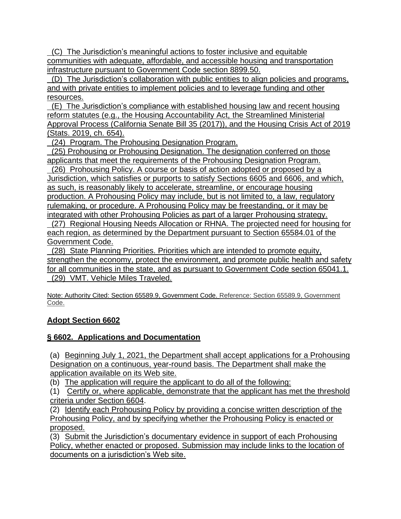(C) The Jurisdiction's meaningful actions to foster inclusive and equitable communities with adequate, affordable, and accessible housing and transportation infrastructure pursuant to Government Code section 8899.50.

 (D) The Jurisdiction's collaboration with public entities to align policies and programs, and with private entities to implement policies and to leverage funding and other resources.

 (E) The Jurisdiction's compliance with established housing law and recent housing reform statutes (e.g., the Housing Accountability Act, the Streamlined Ministerial Approval Process (California Senate Bill 35 (2017)), and the Housing Crisis Act of 2019 (Stats. 2019, ch. 654).

(24) Program. The Prohousing Designation Program.

 (25) Prohousing or Prohousing Designation. The designation conferred on those applicants that meet the requirements of the Prohousing Designation Program.

 (26) Prohousing Policy. A course or basis of action adopted or proposed by a Jurisdiction, which satisfies or purports to satisfy Sections 6605 and 6606, and which, as such, is reasonably likely to accelerate, streamline, or encourage housing production. A Prohousing Policy may include, but is not limited to, a law, regulatory rulemaking, or procedure. A Prohousing Policy may be freestanding, or it may be integrated with other Prohousing Policies as part of a larger Prohousing strategy.

 (27) Regional Housing Needs Allocation or RHNA. The projected need for housing for each region, as determined by the Department pursuant to Section 65584.01 of the Government Code.

 (28) State Planning Priorities. Priorities which are intended to promote equity, strengthen the economy, protect the environment, and promote public health and safety for all communities in the state, and as pursuant to Government Code section 65041.1. (29) VMT. Vehicle Miles Traveled.

Note: Authority Cited: Section 65589.9, Government Code. Reference: Section 65589.9, Government Code.

# **Adopt Section 6602**

# **§ 6602. Applications and Documentation**

(a) Beginning July 1, 2021, the Department shall accept applications for a Prohousing Designation on a continuous, year-round basis. The Department shall make the application available on its Web site.

(b) The application will require the applicant to do all of the following:

(1) Certify or, where applicable, demonstrate that the applicant has met the threshold criteria under Section 6604.

(2) Identify each Prohousing Policy by providing a concise written description of the Prohousing Policy, and by specifying whether the Prohousing Policy is enacted or proposed.

(3) Submit the Jurisdiction's documentary evidence in support of each Prohousing Policy, whether enacted or proposed. Submission may include links to the location of documents on a jurisdiction's Web site.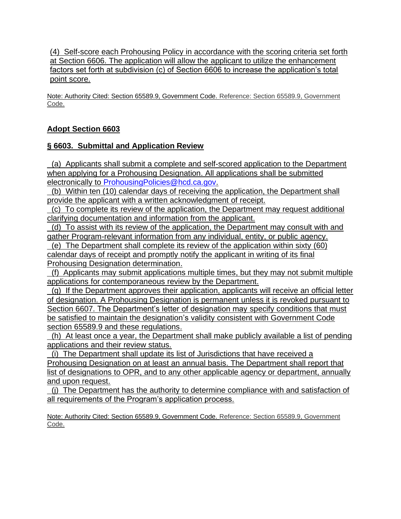(4) Self-score each Prohousing Policy in accordance with the scoring criteria set forth at Section 6606. The application will allow the applicant to utilize the enhancement factors set forth at subdivision (c) of Section 6606 to increase the application's total point score.

Note: Authority Cited: Section 65589.9, Government Code. Reference: Section 65589.9, Government Code.

## **Adopt Section 6603**

## **§ 6603. Submittal and Application Review**

 (a) Applicants shall submit a complete and self-scored application to the Department when applying for a Prohousing Designation. All applications shall be submitted electronically to [ProhousingPolicies@hcd.ca.gov.](mailto:ProhousingPolicies@hcd.ca.gov)

 (b) Within ten (10) calendar days of receiving the application, the Department shall provide the applicant with a written acknowledgment of receipt.

 (c) To complete its review of the application, the Department may request additional clarifying documentation and information from the applicant.

 (d) To assist with its review of the application, the Department may consult with and gather Program-relevant information from any individual, entity, or public agency.

 (e) The Department shall complete its review of the application within sixty (60) calendar days of receipt and promptly notify the applicant in writing of its final Prohousing Designation determination.

 (f) Applicants may submit applications multiple times, but they may not submit multiple applications for contemporaneous review by the Department.

 (g) If the Department approves their application, applicants will receive an official letter of designation. A Prohousing Designation is permanent unless it is revoked pursuant to Section 6607. The Department's letter of designation may specify conditions that must be satisfied to maintain the designation's validity consistent with Government Code section 65589.9 and these regulations.

 (h) At least once a year, the Department shall make publicly available a list of pending applications and their review status.

 (i) The Department shall update its list of Jurisdictions that have received a Prohousing Designation on at least an annual basis. The Department shall report that list of designations to OPR, and to any other applicable agency or department, annually and upon request.

 (j) The Department has the authority to determine compliance with and satisfaction of all requirements of the Program's application process.

Note: Authority Cited: Section 65589.9, Government Code. Reference: Section 65589.9, Government Code.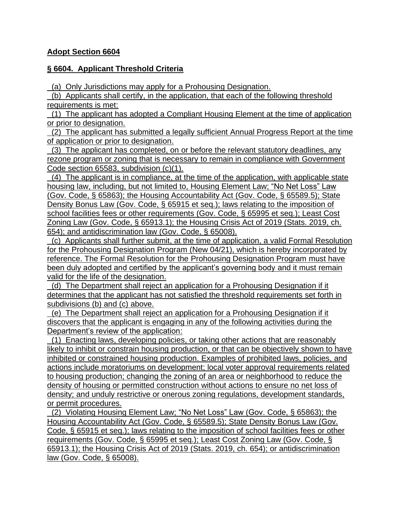### **Adopt Section 6604**

### **§ 6604. Applicant Threshold Criteria**

(a) Only Jurisdictions may apply for a Prohousing Designation.

 (b) Applicants shall certify, in the application, that each of the following threshold requirements is met:

 (1) The applicant has adopted a Compliant Housing Element at the time of application or prior to designation.

 (2) The applicant has submitted a legally sufficient Annual Progress Report at the time of application or prior to designation.

 (3) The applicant has completed, on or before the relevant statutory deadlines, any rezone program or zoning that is necessary to remain in compliance with Government Code section 65583, subdivision (c)(1).

 (4) The applicant is in compliance, at the time of the application, with applicable state housing law, including, but not limited to, Housing Element Law; "No Net Loss" Law (Gov. Code, § 65863); the Housing Accountability Act (Gov. Code, § 65589.5); State Density Bonus Law (Gov. Code, § 65915 et seq.); laws relating to the imposition of school facilities fees or other requirements (Gov. Code, § 65995 et seq.); Least Cost Zoning Law (Gov. Code, § 65913.1); the Housing Crisis Act of 2019 (Stats. 2019, ch. 654); and antidiscrimination law (Gov. Code, § 65008).

 (c) Applicants shall further submit, at the time of application, a valid Formal Resolution for the Prohousing Designation Program (New 04/21), which is hereby incorporated by reference. The Formal Resolution for the Prohousing Designation Program must have been duly adopted and certified by the applicant's governing body and it must remain valid for the life of the designation.

(d) The Department shall reject an application for a Prohousing Designation if it determines that the applicant has not satisfied the threshold requirements set forth in subdivisions (b) and (c) above.

 (e) The Department shall reject an application for a Prohousing Designation if it discovers that the applicant is engaging in any of the following activities during the Department's review of the application:

 (1) Enacting laws, developing policies, or taking other actions that are reasonably likely to inhibit or constrain housing production, or that can be objectively shown to have inhibited or constrained housing production. Examples of prohibited laws, policies, and actions include moratoriums on development; local voter approval requirements related to housing production; changing the zoning of an area or neighborhood to reduce the density of housing or permitted construction without actions to ensure no net loss of density; and unduly restrictive or onerous zoning regulations, development standards, or permit procedures.

 (2) Violating Housing Element Law; "No Net Loss" Law (Gov. Code, § 65863); the Housing Accountability Act (Gov. Code, § 65589.5); State Density Bonus Law (Gov. Code, § 65915 et seq.); laws relating to the imposition of school facilities fees or other requirements (Gov. Code, § 65995 et seq.); Least Cost Zoning Law (Gov. Code, § 65913.1); the Housing Crisis Act of 2019 (Stats. 2019, ch. 654); or antidiscrimination law (Gov. Code, § 65008).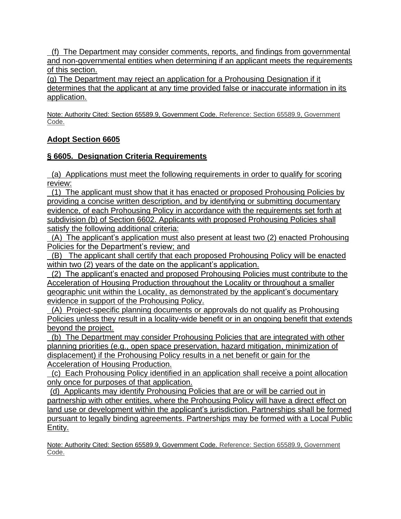(f) The Department may consider comments, reports, and findings from governmental and non-governmental entities when determining if an applicant meets the requirements of this section.

(g) The Department may reject an application for a Prohousing Designation if it determines that the applicant at any time provided false or inaccurate information in its application.

Note: Authority Cited: Section 65589.9, Government Code. Reference: Section 65589.9, Government Code.

## **Adopt Section 6605**

## **§ 6605. Designation Criteria Requirements**

 (a) Applications must meet the following requirements in order to qualify for scoring review:

 (1) The applicant must show that it has enacted or proposed Prohousing Policies by providing a concise written description, and by identifying or submitting documentary evidence, of each Prohousing Policy in accordance with the requirements set forth at subdivision (b) of Section 6602. Applicants with proposed Prohousing Policies shall satisfy the following additional criteria:

 (A) The applicant's application must also present at least two (2) enacted Prohousing Policies for the Department's review; and

 (B) The applicant shall certify that each proposed Prohousing Policy will be enacted within two (2) years of the date on the applicant's application.

 (2) The applicant's enacted and proposed Prohousing Policies must contribute to the Acceleration of Housing Production throughout the Locality or throughout a smaller geographic unit within the Locality, as demonstrated by the applicant's documentary evidence in support of the Prohousing Policy.

 (A) Project-specific planning documents or approvals do not qualify as Prohousing Policies unless they result in a locality-wide benefit or in an ongoing benefit that extends beyond the project.

 (b) The Department may consider Prohousing Policies that are integrated with other planning priorities (e.g., open space preservation, hazard mitigation, minimization of displacement) if the Prohousing Policy results in a net benefit or gain for the Acceleration of Housing Production.

 (c) Each Prohousing Policy identified in an application shall receive a point allocation only once for purposes of that application.

(d) Applicants may identify Prohousing Policies that are or will be carried out in partnership with other entities, where the Prohousing Policy will have a direct effect on land use or development within the applicant's jurisdiction. Partnerships shall be formed pursuant to legally binding agreements. Partnerships may be formed with a Local Public Entity.

Note: Authority Cited: Section 65589.9, Government Code. Reference: Section 65589.9, Government Code.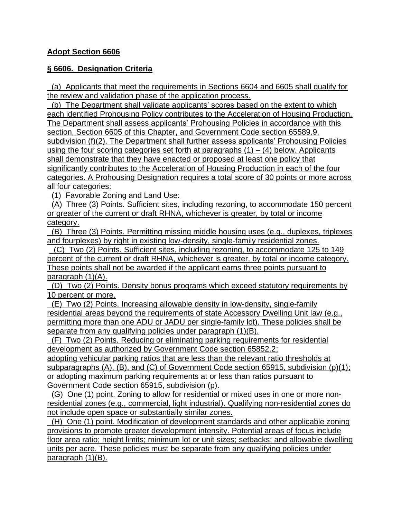### **Adopt Section 6606**

### **§ 6606. Designation Criteria**

 (a) Applicants that meet the requirements in Sections 6604 and 6605 shall qualify for the review and validation phase of the application process.

 (b) The Department shall validate applicants' scores based on the extent to which each identified Prohousing Policy contributes to the Acceleration of Housing Production. The Department shall assess applicants' Prohousing Policies in accordance with this section, Section 6605 of this Chapter, and Government Code section 65589.9, subdivision (f)(2). The Department shall further assess applicants' Prohousing Policies using the four scoring categories set forth at paragraphs  $(1) - (4)$  below. Applicants shall demonstrate that they have enacted or proposed at least one policy that significantly contributes to the Acceleration of Housing Production in each of the four categories. A Prohousing Designation requires a total score of 30 points or more across all four categories:

(1) Favorable Zoning and Land Use:

 (A) Three (3) Points. Sufficient sites, including rezoning, to accommodate 150 percent or greater of the current or draft RHNA, whichever is greater, by total or income category.

 (B) Three (3) Points. Permitting missing middle housing uses (e.g., duplexes, triplexes and fourplexes) by right in existing low-density, single-family residential zones.

 (C) Two (2) Points. Sufficient sites, including rezoning, to accommodate 125 to 149 percent of the current or draft RHNA, whichever is greater, by total or income category. These points shall not be awarded if the applicant earns three points pursuant to paragraph (1)(A).

 (D) Two (2) Points. Density bonus programs which exceed statutory requirements by 10 percent or more.

 (E) Two (2) Points. Increasing allowable density in low-density, single-family residential areas beyond the requirements of state Accessory Dwelling Unit law (e.g., permitting more than one ADU or JADU per single-family lot). These policies shall be separate from any qualifying policies under paragraph (1)(B).

 (F) Two (2) Points. Reducing or eliminating parking requirements for residential development as authorized by Government Code section 65852.2;

adopting vehicular parking ratios that are less than the relevant ratio thresholds at subparagraphs (A), (B), and (C) of Government Code section 65915, subdivision (p)(1); or adopting maximum parking requirements at or less than ratios pursuant to Government Code section 65915, subdivision (p).

 (G) One (1) point. Zoning to allow for residential or mixed uses in one or more nonresidential zones (e.g., commercial, light industrial). Qualifying non-residential zones do not include open space or substantially similar zones.

 (H) One (1) point. Modification of development standards and other applicable zoning provisions to promote greater development intensity. Potential areas of focus include floor area ratio; height limits; minimum lot or unit sizes; setbacks; and allowable dwelling units per acre. These policies must be separate from any qualifying policies under paragraph (1)(B).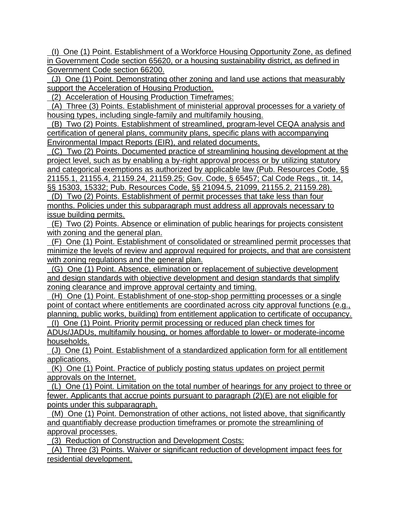(I) One (1) Point. Establishment of a Workforce Housing Opportunity Zone, as defined in Government Code section 65620, or a housing sustainability district, as defined in Government Code section 66200.

(J) One (1) Point. Demonstrating other zoning and land use actions that measurably support the Acceleration of Housing Production.

(2) Acceleration of Housing Production Timeframes:

 (A) Three (3) Points. Establishment of ministerial approval processes for a variety of housing types, including single-family and multifamily housing.

 (B) Two (2) Points. Establishment of streamlined, program-level CEQA analysis and certification of general plans, community plans, specific plans with accompanying Environmental Impact Reports (EIR), and related documents.

 (C) Two (2) Points. Documented practice of streamlining housing development at the project level, such as by enabling a by-right approval process or by utilizing statutory and categorical exemptions as authorized by applicable law (Pub. Resources Code, §§ 21155.1, 21155.4, 21159.24, 21159.25; Gov. Code, § 65457; Cal Code Regs., tit. 14, §§ 15303, 15332; Pub. Resources Code, §§ 21094.5, 21099, 21155.2, 21159.28).

 (D) Two (2) Points. Establishment of permit processes that take less than four months. Policies under this subparagraph must address all approvals necessary to issue building permits.

 (E) Two (2) Points. Absence or elimination of public hearings for projects consistent with zoning and the general plan.

 (F) One (1) Point. Establishment of consolidated or streamlined permit processes that minimize the levels of review and approval required for projects, and that are consistent with zoning regulations and the general plan.

 (G) One (1) Point. Absence, elimination or replacement of subjective development and design standards with objective development and design standards that simplify zoning clearance and improve approval certainty and timing.

 (H) One (1) Point. Establishment of one-stop-shop permitting processes or a single point of contact where entitlements are coordinated across city approval functions (e.g., planning, public works, building) from entitlement application to certificate of occupancy.

(I) One (1) Point. Priority permit processing or reduced plan check times for

ADUs/JADUs, multifamily housing, or homes affordable to lower- or moderate-income households.

 (J) One (1) Point. Establishment of a standardized application form for all entitlement applications.

 (K) One (1) Point. Practice of publicly posting status updates on project permit approvals on the Internet.

 (L) One (1) Point. Limitation on the total number of hearings for any project to three or fewer. Applicants that accrue points pursuant to paragraph (2)(E) are not eligible for points under this subparagraph.

 (M) One (1) Point. Demonstration of other actions, not listed above, that significantly and quantifiably decrease production timeframes or promote the streamlining of approval processes.

(3) Reduction of Construction and Development Costs:

 (A) Three (3) Points. Waiver or significant reduction of development impact fees for residential development.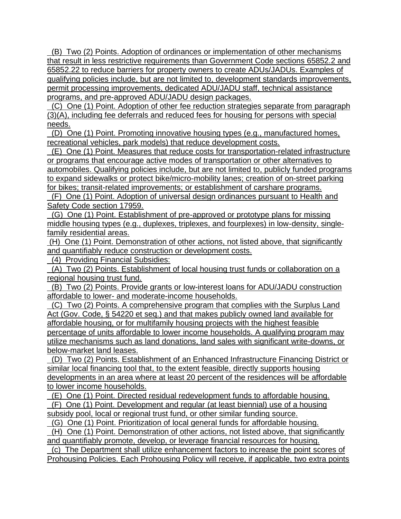(B) Two (2) Points. Adoption of ordinances or implementation of other mechanisms that result in less restrictive requirements than Government Code sections 65852.2 and 65852.22 to reduce barriers for property owners to create ADUs/JADUs. Examples of qualifying policies include, but are not limited to, development standards improvements, permit processing improvements, dedicated ADU/JADU staff, technical assistance programs, and pre-approved ADU/JADU design packages.

 (C) One (1) Point. Adoption of other fee reduction strategies separate from paragraph (3)(A), including fee deferrals and reduced fees for housing for persons with special needs.

 (D) One (1) Point. Promoting innovative housing types (e.g., manufactured homes, recreational vehicles, park models) that reduce development costs.

 (E) One (1) Point. Measures that reduce costs for transportation-related infrastructure or programs that encourage active modes of transportation or other alternatives to automobiles. Qualifying policies include, but are not limited to, publicly funded programs to expand sidewalks or protect bike/micro-mobility lanes; creation of on-street parking for bikes; transit-related improvements; or establishment of carshare programs.

 (F) One (1) Point. Adoption of universal design ordinances pursuant to Health and Safety Code section 17959.

 (G) One (1) Point. Establishment of pre-approved or prototype plans for missing middle housing types (e.g., duplexes, triplexes, and fourplexes) in low-density, singlefamily residential areas.

(H) One (1) Point. Demonstration of other actions, not listed above, that significantly and quantifiably reduce construction or development costs.

(4) Providing Financial Subsidies:

 (A) Two (2) Points. Establishment of local housing trust funds or collaboration on a regional housing trust fund.

 (B) Two (2) Points. Provide grants or low-interest loans for ADU/JADU construction affordable to lower- and moderate-income households.

 (C) Two (2) Points. A comprehensive program that complies with the Surplus Land Act (Gov. Code, § 54220 et seq.) and that makes publicly owned land available for affordable housing, or for multifamily housing projects with the highest feasible percentage of units affordable to lower income households. A qualifying program may utilize mechanisms such as land donations, land sales with significant write-downs, or below-market land leases.

 (D) Two (2) Points. Establishment of an Enhanced Infrastructure Financing District or similar local financing tool that, to the extent feasible, directly supports housing developments in an area where at least 20 percent of the residences will be affordable to lower income households.

(E) One (1) Point. Directed residual redevelopment funds to affordable housing.

 (F) One (1) Point. Development and regular (at least biennial) use of a housing subsidy pool, local or regional trust fund, or other similar funding source.

(G) One (1) Point. Prioritization of local general funds for affordable housing.

 (H) One (1) Point. Demonstration of other actions, not listed above, that significantly and quantifiably promote, develop, or leverage financial resources for housing.

 (c) The Department shall utilize enhancement factors to increase the point scores of Prohousing Policies. Each Prohousing Policy will receive, if applicable, two extra points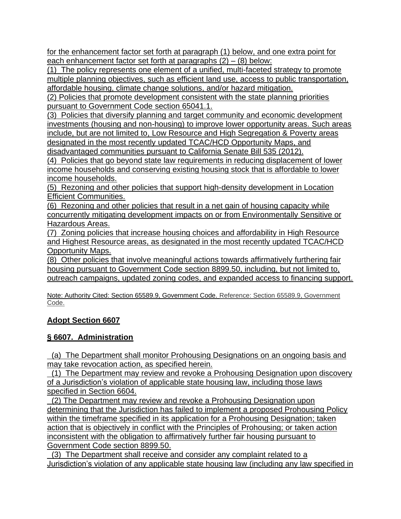for the enhancement factor set forth at paragraph (1) below, and one extra point for each enhancement factor set forth at paragraphs  $(2) - (8)$  below:

(1) The policy represents one element of a unified, multi-faceted strategy to promote multiple planning objectives, such as efficient land use, access to public transportation, affordable housing, climate change solutions, and/or hazard mitigation.

(2) Policies that promote development consistent with the state planning priorities pursuant to Government Code section 65041.1.

(3) Policies that diversify planning and target community and economic development investments (housing and non-housing) to improve lower opportunity areas. Such areas include, but are not limited to, Low Resource and High Segregation & Poverty areas designated in the most recently updated TCAC/HCD Opportunity Maps, and disadvantaged communities pursuant to California Senate Bill 535 (2012).

(4) Policies that go beyond state law requirements in reducing displacement of lower income households and conserving existing housing stock that is affordable to lower income households.

(5) Rezoning and other policies that support high-density development in Location Efficient Communities.

(6) Rezoning and other policies that result in a net gain of housing capacity while concurrently mitigating development impacts on or from Environmentally Sensitive or Hazardous Areas.

(7) Zoning policies that increase housing choices and affordability in High Resource and Highest Resource areas, as designated in the most recently updated TCAC/HCD Opportunity Maps.

(8) Other policies that involve meaningful actions towards affirmatively furthering fair housing pursuant to Government Code section 8899.50, including, but not limited to, outreach campaigns, updated zoning codes, and expanded access to financing support.

Note: Authority Cited: Section 65589.9, Government Code. Reference: Section 65589.9, Government Code.

## **Adopt Section 6607**

## **§ 6607. Administration**

 (a) The Department shall monitor Prohousing Designations on an ongoing basis and may take revocation action, as specified herein.

 (1) The Department may review and revoke a Prohousing Designation upon discovery of a Jurisdiction's violation of applicable state housing law, including those laws specified in Section 6604.

 (2) The Department may review and revoke a Prohousing Designation upon determining that the Jurisdiction has failed to implement a proposed Prohousing Policy within the timeframe specified in its application for a Prohousing Designation; taken action that is objectively in conflict with the Principles of Prohousing; or taken action inconsistent with the obligation to affirmatively further fair housing pursuant to Government Code section 8899.50.

 (3) The Department shall receive and consider any complaint related to a Jurisdiction's violation of any applicable state housing law (including any law specified in